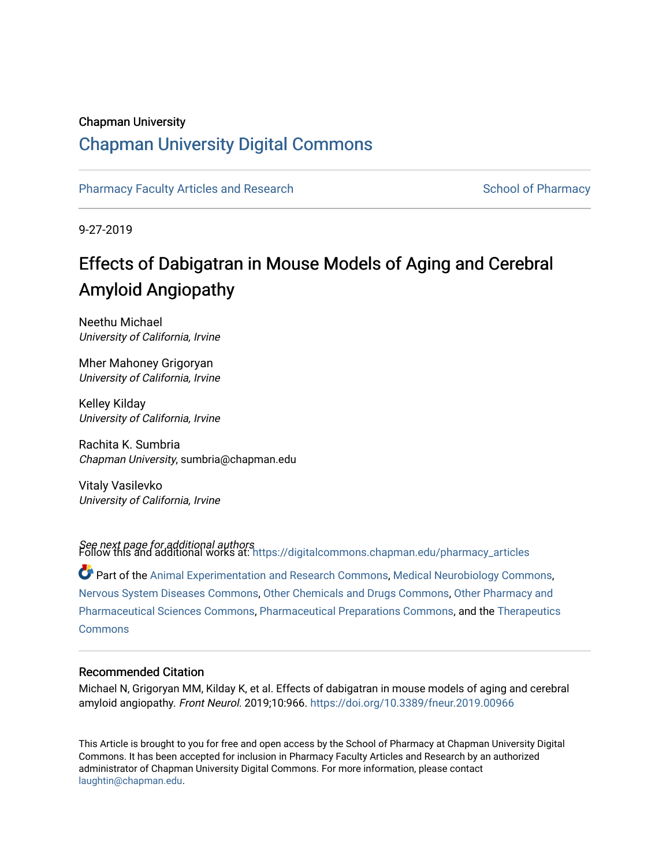#### Chapman University

# [Chapman University Digital Commons](https://digitalcommons.chapman.edu/)

[Pharmacy Faculty Articles and Research](https://digitalcommons.chapman.edu/pharmacy_articles) [School of Pharmacy](https://digitalcommons.chapman.edu/cusp) School of Pharmacy

9-27-2019

# Effects of Dabigatran in Mouse Models of Aging and Cerebral Amyloid Angiopathy

Neethu Michael University of California, Irvine

Mher Mahoney Grigoryan University of California, Irvine

Kelley Kilday University of California, Irvine

Rachita K. Sumbria Chapman University, sumbria@chapman.edu

Vitaly Vasilevko University of California, Irvine

**See next page for additional authors**<br>Follow this and additional works at: [https://digitalcommons.chapman.edu/pharmacy\\_articles](https://digitalcommons.chapman.edu/pharmacy_articles?utm_source=digitalcommons.chapman.edu%2Fpharmacy_articles%2F855&utm_medium=PDF&utm_campaign=PDFCoverPages)

Part of the [Animal Experimentation and Research Commons,](http://network.bepress.com/hgg/discipline/1390?utm_source=digitalcommons.chapman.edu%2Fpharmacy_articles%2F855&utm_medium=PDF&utm_campaign=PDFCoverPages) [Medical Neurobiology Commons,](http://network.bepress.com/hgg/discipline/674?utm_source=digitalcommons.chapman.edu%2Fpharmacy_articles%2F855&utm_medium=PDF&utm_campaign=PDFCoverPages) [Nervous System Diseases Commons](http://network.bepress.com/hgg/discipline/928?utm_source=digitalcommons.chapman.edu%2Fpharmacy_articles%2F855&utm_medium=PDF&utm_campaign=PDFCoverPages), [Other Chemicals and Drugs Commons,](http://network.bepress.com/hgg/discipline/951?utm_source=digitalcommons.chapman.edu%2Fpharmacy_articles%2F855&utm_medium=PDF&utm_campaign=PDFCoverPages) [Other Pharmacy and](http://network.bepress.com/hgg/discipline/737?utm_source=digitalcommons.chapman.edu%2Fpharmacy_articles%2F855&utm_medium=PDF&utm_campaign=PDFCoverPages)  [Pharmaceutical Sciences Commons,](http://network.bepress.com/hgg/discipline/737?utm_source=digitalcommons.chapman.edu%2Fpharmacy_articles%2F855&utm_medium=PDF&utm_campaign=PDFCoverPages) [Pharmaceutical Preparations Commons,](http://network.bepress.com/hgg/discipline/936?utm_source=digitalcommons.chapman.edu%2Fpharmacy_articles%2F855&utm_medium=PDF&utm_campaign=PDFCoverPages) and the [Therapeutics](http://network.bepress.com/hgg/discipline/993?utm_source=digitalcommons.chapman.edu%2Fpharmacy_articles%2F855&utm_medium=PDF&utm_campaign=PDFCoverPages)  [Commons](http://network.bepress.com/hgg/discipline/993?utm_source=digitalcommons.chapman.edu%2Fpharmacy_articles%2F855&utm_medium=PDF&utm_campaign=PDFCoverPages)

#### Recommended Citation

Michael N, Grigoryan MM, Kilday K, et al. Effects of dabigatran in mouse models of aging and cerebral amyloid angiopathy. Front Neurol. 2019;10:966. <https://doi.org/10.3389/fneur.2019.00966>

This Article is brought to you for free and open access by the School of Pharmacy at Chapman University Digital Commons. It has been accepted for inclusion in Pharmacy Faculty Articles and Research by an authorized administrator of Chapman University Digital Commons. For more information, please contact [laughtin@chapman.edu.](mailto:laughtin@chapman.edu)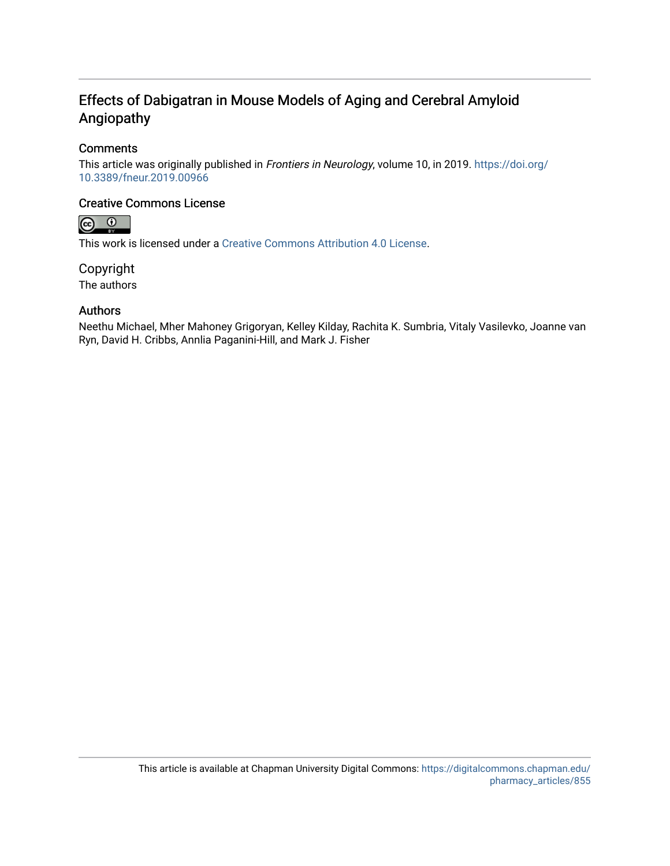# Effects of Dabigatran in Mouse Models of Aging and Cerebral Amyloid Angiopathy

#### **Comments**

This article was originally published in Frontiers in Neurology, volume 10, in 2019. [https://doi.org/](https://doi.org/10.3389/fneur.2019.00966) [10.3389/fneur.2019.00966](https://doi.org/10.3389/fneur.2019.00966) 

#### Creative Commons License



This work is licensed under a [Creative Commons Attribution 4.0 License](https://creativecommons.org/licenses/by/4.0/).

Copyright The authors

#### Authors

Neethu Michael, Mher Mahoney Grigoryan, Kelley Kilday, Rachita K. Sumbria, Vitaly Vasilevko, Joanne van Ryn, David H. Cribbs, Annlia Paganini-Hill, and Mark J. Fisher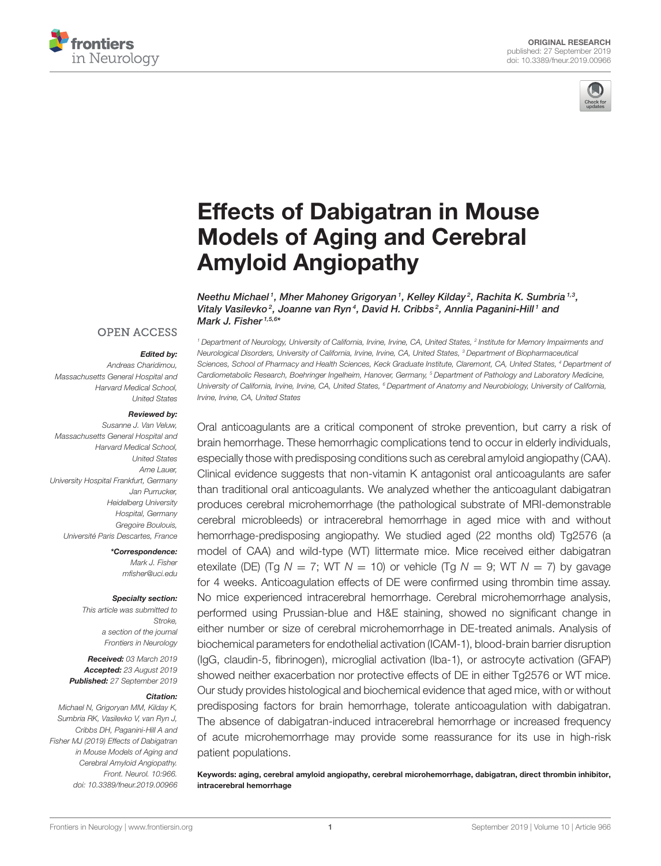



# [Effects of Dabigatran in Mouse](https://www.frontiersin.org/articles/10.3389/fneur.2019.00966/full) Models of Aging and Cerebral Amyloid Angiopathy

[Neethu Michael](http://loop.frontiersin.org/people/719511/overview)1, Mher Mahoney Grigoryan1, Kelley Kilday<sup>2</sup>, Rachita K. Sumbria<sup>1,3</sup>, [Vitaly Vasilevko](http://loop.frontiersin.org/people/750669/overview)<sup>2</sup>, [Joanne van Ryn](http://loop.frontiersin.org/people/68746/overview)<sup>4</sup>, [David H. Cribbs](http://loop.frontiersin.org/people/9580/overview)<sup>2</sup>, [Annlia Paganini-Hill](http://loop.frontiersin.org/people/192229/overview)<sup>1</sup> and [Mark J. Fisher](http://loop.frontiersin.org/people/55503/overview) 1,5,6\*

#### **OPEN ACCESS**

#### Edited by:

Andreas Charidimou, Massachusetts General Hospital and Harvard Medical School, United States

#### Reviewed by:

Susanne J. Van Veluw, Massachusetts General Hospital and Harvard Medical School, United States Arne Lauer, University Hospital Frankfurt, Germany Jan Purrucker, Heidelberg University Hospital, Germany Gregoire Boulouis, Université Paris Descartes, France

> \*Correspondence: Mark J. Fisher [mfisher@uci.edu](mailto:mfisher@uci.edu)

Specialty section:

This article was submitted to Stroke, a section of the journal Frontiers in Neurology

Received: 03 March 2019 Accepted: 23 August 2019 Published: 27 September 2019

#### Citation:

Michael N, Grigoryan MM, Kilday K, Sumbria RK, Vasilevko V, van Ryn J, Cribbs DH, Paganini-Hill A and Fisher MJ (2019) Effects of Dabigatran in Mouse Models of Aging and Cerebral Amyloid Angiopathy. Front. Neurol. 10:966. doi: [10.3389/fneur.2019.00966](https://doi.org/10.3389/fneur.2019.00966)

<sup>1</sup> Department of Neurology, University of California, Irvine, Irvine, CA, United States, <sup>2</sup> Institute for Memory Impairments and Neurological Disorders, University of California, Irvine, Irvine, CA, United States, <sup>3</sup> Department of Biopharmaceutical Sciences, School of Pharmacy and Health Sciences, Keck Graduate Institute, Claremont, CA, United States, <sup>4</sup> Department of Cardiometabolic Research, Boehringer Ingelheim, Hanover, Germany, <sup>5</sup> Department of Pathology and Laboratory Medicine, University of California, Irvine, Irvine, CA, United States, <sup>6</sup> Department of Anatomy and Neurobiology, University of California, Irvine, Irvine, CA, United States

Oral anticoagulants are a critical component of stroke prevention, but carry a risk of brain hemorrhage. These hemorrhagic complications tend to occur in elderly individuals, especially those with predisposing conditions such as cerebral amyloid angiopathy (CAA). Clinical evidence suggests that non-vitamin K antagonist oral anticoagulants are safer than traditional oral anticoagulants. We analyzed whether the anticoagulant dabigatran produces cerebral microhemorrhage (the pathological substrate of MRI-demonstrable cerebral microbleeds) or intracerebral hemorrhage in aged mice with and without hemorrhage-predisposing angiopathy. We studied aged (22 months old) Tg2576 (a model of CAA) and wild-type (WT) littermate mice. Mice received either dabigatran etexilate (DE) (Tg  $N = 7$ ; WT  $N = 10$ ) or vehicle (Tg  $N = 9$ ; WT  $N = 7$ ) by gavage for 4 weeks. Anticoagulation effects of DE were confirmed using thrombin time assay. No mice experienced intracerebral hemorrhage. Cerebral microhemorrhage analysis, performed using Prussian-blue and H&E staining, showed no significant change in either number or size of cerebral microhemorrhage in DE-treated animals. Analysis of biochemical parameters for endothelial activation (ICAM-1), blood-brain barrier disruption (IgG, claudin-5, fibrinogen), microglial activation (Iba-1), or astrocyte activation (GFAP) showed neither exacerbation nor protective effects of DE in either Tg2576 or WT mice. Our study provides histological and biochemical evidence that aged mice, with or without predisposing factors for brain hemorrhage, tolerate anticoagulation with dabigatran. The absence of dabigatran-induced intracerebral hemorrhage or increased frequency of acute microhemorrhage may provide some reassurance for its use in high-risk patient populations.

Keywords: aging, cerebral amyloid angiopathy, cerebral microhemorrhage, dabigatran, direct thrombin inhibitor, intracerebral hemorrhage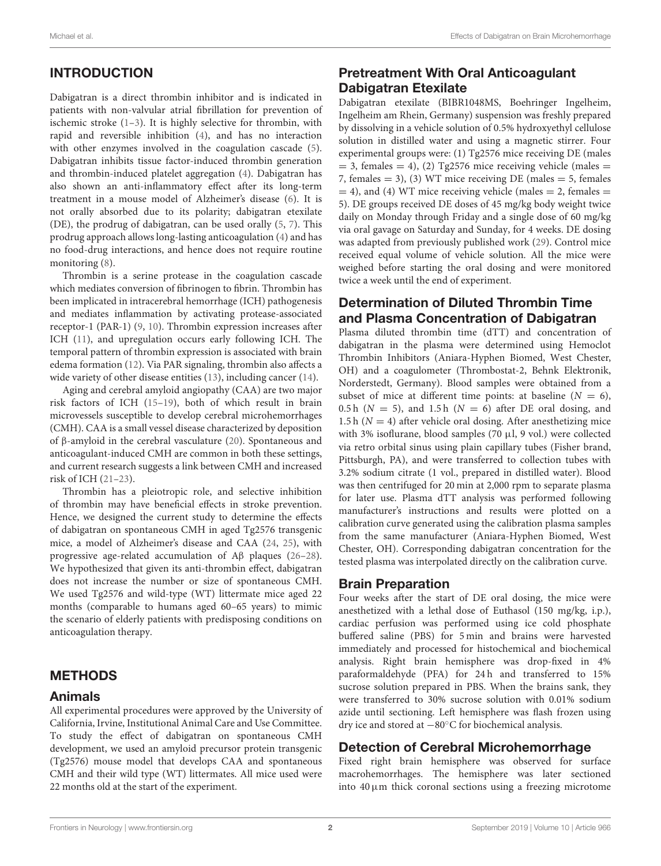## INTRODUCTION

Dabigatran is a direct thrombin inhibitor and is indicated in patients with non-valvular atrial fibrillation for prevention of ischemic stroke [\(1](#page-8-0)[–3\)](#page-8-1). It is highly selective for thrombin, with rapid and reversible inhibition [\(4\)](#page-8-2), and has no interaction with other enzymes involved in the coagulation cascade [\(5\)](#page-8-3). Dabigatran inhibits tissue factor-induced thrombin generation and thrombin-induced platelet aggregation [\(4\)](#page-8-2). Dabigatran has also shown an anti-inflammatory effect after its long-term treatment in a mouse model of Alzheimer's disease [\(6\)](#page-8-4). It is not orally absorbed due to its polarity; dabigatran etexilate (DE), the prodrug of dabigatran, can be used orally [\(5,](#page-8-3) [7\)](#page-8-5). This prodrug approach allows long-lasting anticoagulation [\(4\)](#page-8-2) and has no food-drug interactions, and hence does not require routine monitoring [\(8\)](#page-8-6).

Thrombin is a serine protease in the coagulation cascade which mediates conversion of fibrinogen to fibrin. Thrombin has been implicated in intracerebral hemorrhage (ICH) pathogenesis and mediates inflammation by activating protease-associated receptor-1 (PAR-1) [\(9,](#page-8-7) [10\)](#page-8-8). Thrombin expression increases after ICH [\(11\)](#page-8-9), and upregulation occurs early following ICH. The temporal pattern of thrombin expression is associated with brain edema formation [\(12\)](#page-8-10). Via PAR signaling, thrombin also affects a wide variety of other disease entities [\(13\)](#page-8-11), including cancer [\(14\)](#page-8-12).

Aging and cerebral amyloid angiopathy (CAA) are two major risk factors of ICH [\(15](#page-8-13)[–19\)](#page-8-14), both of which result in brain microvessels susceptible to develop cerebral microhemorrhages (CMH). CAA is a small vessel disease characterized by deposition of β-amyloid in the cerebral vasculature [\(20\)](#page-8-15). Spontaneous and anticoagulant-induced CMH are common in both these settings, and current research suggests a link between CMH and increased risk of ICH [\(21](#page-8-16)[–23\)](#page-8-17).

Thrombin has a pleiotropic role, and selective inhibition of thrombin may have beneficial effects in stroke prevention. Hence, we designed the current study to determine the effects of dabigatran on spontaneous CMH in aged Tg2576 transgenic mice, a model of Alzheimer's disease and CAA [\(24,](#page-8-18) [25\)](#page-8-19), with progressive age-related accumulation of Aβ plaques [\(26–](#page-8-20)[28\)](#page-8-21). We hypothesized that given its anti-thrombin effect, dabigatran does not increase the number or size of spontaneous CMH. We used Tg2576 and wild-type (WT) littermate mice aged 22 months (comparable to humans aged 60–65 years) to mimic the scenario of elderly patients with predisposing conditions on anticoagulation therapy.

## METHODS

#### Animals

All experimental procedures were approved by the University of California, Irvine, Institutional Animal Care and Use Committee. To study the effect of dabigatran on spontaneous CMH development, we used an amyloid precursor protein transgenic (Tg2576) mouse model that develops CAA and spontaneous CMH and their wild type (WT) littermates. All mice used were 22 months old at the start of the experiment.

## Pretreatment With Oral Anticoagulant Dabigatran Etexilate

Dabigatran etexilate (BIBR1048MS, Boehringer Ingelheim, Ingelheim am Rhein, Germany) suspension was freshly prepared by dissolving in a vehicle solution of 0.5% hydroxyethyl cellulose solution in distilled water and using a magnetic stirrer. Four experimental groups were: (1) Tg2576 mice receiving DE (males  $= 3$ , females  $= 4$ ), (2) Tg2576 mice receiving vehicle (males  $=$ 7, females = 3), (3) WT mice receiving DE (males = 5, females  $= 4$ ), and (4) WT mice receiving vehicle (males  $= 2$ , females  $=$ 5). DE groups received DE doses of 45 mg/kg body weight twice daily on Monday through Friday and a single dose of 60 mg/kg via oral gavage on Saturday and Sunday, for 4 weeks. DE dosing was adapted from previously published work [\(29\)](#page-9-0). Control mice received equal volume of vehicle solution. All the mice were weighed before starting the oral dosing and were monitored twice a week until the end of experiment.

## Determination of Diluted Thrombin Time and Plasma Concentration of Dabigatran

Plasma diluted thrombin time (dTT) and concentration of dabigatran in the plasma were determined using Hemoclot Thrombin Inhibitors (Aniara-Hyphen Biomed, West Chester, OH) and a coagulometer (Thrombostat-2, Behnk Elektronik, Norderstedt, Germany). Blood samples were obtained from a subset of mice at different time points: at baseline  $(N = 6)$ , 0.5 h ( $N = 5$ ), and 1.5 h ( $N = 6$ ) after DE oral dosing, and 1.5 h ( $N = 4$ ) after vehicle oral dosing. After anesthetizing mice with 3% isoflurane, blood samples (70 µl, 9 vol.) were collected via retro orbital sinus using plain capillary tubes (Fisher brand, Pittsburgh, PA), and were transferred to collection tubes with 3.2% sodium citrate (1 vol., prepared in distilled water). Blood was then centrifuged for 20 min at 2,000 rpm to separate plasma for later use. Plasma dTT analysis was performed following manufacturer's instructions and results were plotted on a calibration curve generated using the calibration plasma samples from the same manufacturer (Aniara-Hyphen Biomed, West Chester, OH). Corresponding dabigatran concentration for the tested plasma was interpolated directly on the calibration curve.

#### Brain Preparation

Four weeks after the start of DE oral dosing, the mice were anesthetized with a lethal dose of Euthasol (150 mg/kg, i.p.), cardiac perfusion was performed using ice cold phosphate buffered saline (PBS) for 5 min and brains were harvested immediately and processed for histochemical and biochemical analysis. Right brain hemisphere was drop-fixed in 4% paraformaldehyde (PFA) for 24h and transferred to 15% sucrose solution prepared in PBS. When the brains sank, they were transferred to 30% sucrose solution with 0.01% sodium azide until sectioning. Left hemisphere was flash frozen using dry ice and stored at −80◦C for biochemical analysis.

#### Detection of Cerebral Microhemorrhage

Fixed right brain hemisphere was observed for surface macrohemorrhages. The hemisphere was later sectioned into  $40 \mu m$  thick coronal sections using a freezing microtome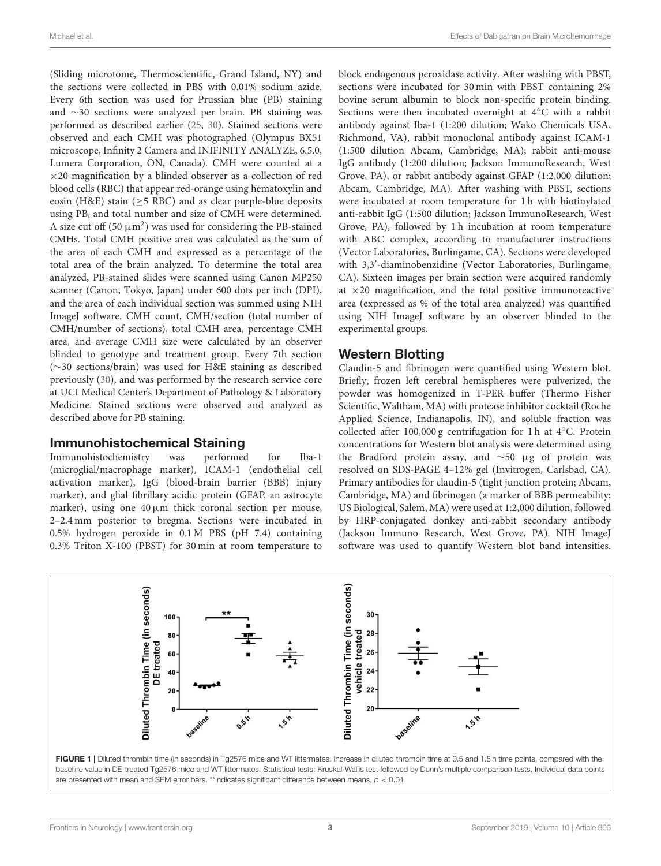(Sliding microtome, Thermoscientific, Grand Island, NY) and the sections were collected in PBS with 0.01% sodium azide. Every 6th section was used for Prussian blue (PB) staining and ∼30 sections were analyzed per brain. PB staining was performed as described earlier [\(25,](#page-8-19) [30\)](#page-9-1). Stained sections were observed and each CMH was photographed (Olympus BX51 microscope, Infinity 2 Camera and INIFINITY ANALYZE, 6.5.0, Lumera Corporation, ON, Canada). CMH were counted at a  $\times$ 20 magnification by a blinded observer as a collection of red blood cells (RBC) that appear red-orange using hematoxylin and eosin (H&E) stain (≥5 RBC) and as clear purple-blue deposits using PB, and total number and size of CMH were determined. A size cut off (50  $\mu$ m<sup>2</sup>) was used for considering the PB-stained CMHs. Total CMH positive area was calculated as the sum of the area of each CMH and expressed as a percentage of the total area of the brain analyzed. To determine the total area analyzed, PB-stained slides were scanned using Canon MP250 scanner (Canon, Tokyo, Japan) under 600 dots per inch (DPI), and the area of each individual section was summed using NIH ImageJ software. CMH count, CMH/section (total number of CMH/number of sections), total CMH area, percentage CMH area, and average CMH size were calculated by an observer blinded to genotype and treatment group. Every 7th section (∼30 sections/brain) was used for H&E staining as described previously [\(30\)](#page-9-1), and was performed by the research service core at UCI Medical Center's Department of Pathology & Laboratory Medicine. Stained sections were observed and analyzed as described above for PB staining.

#### Immunohistochemical Staining

Immunohistochemistry was performed for Iba-1 (microglial/macrophage marker), ICAM-1 (endothelial cell activation marker), IgG (blood-brain barrier (BBB) injury marker), and glial fibrillary acidic protein (GFAP, an astrocyte marker), using one  $40 \mu m$  thick coronal section per mouse, 2–2.4 mm posterior to bregma. Sections were incubated in 0.5% hydrogen peroxide in 0.1 M PBS (pH 7.4) containing 0.3% Triton X-100 (PBST) for 30 min at room temperature to block endogenous peroxidase activity. After washing with PBST, sections were incubated for 30 min with PBST containing 2% bovine serum albumin to block non-specific protein binding. Sections were then incubated overnight at 4◦C with a rabbit antibody against Iba-1 (1:200 dilution; Wako Chemicals USA, Richmond, VA), rabbit monoclonal antibody against ICAM-1 (1:500 dilution Abcam, Cambridge, MA); rabbit anti-mouse IgG antibody (1:200 dilution; Jackson ImmunoResearch, West Grove, PA), or rabbit antibody against GFAP (1:2,000 dilution; Abcam, Cambridge, MA). After washing with PBST, sections were incubated at room temperature for 1 h with biotinylated anti-rabbit IgG (1:500 dilution; Jackson ImmunoResearch, West Grove, PA), followed by 1 h incubation at room temperature with ABC complex, according to manufacturer instructions (Vector Laboratories, Burlingame, CA). Sections were developed with 3,3′ -diaminobenzidine (Vector Laboratories, Burlingame, CA). Sixteen images per brain section were acquired randomly at  $\times$  20 magnification, and the total positive immunoreactive area (expressed as % of the total area analyzed) was quantified using NIH ImageJ software by an observer blinded to the experimental groups.

## Western Blotting

Claudin-5 and fibrinogen were quantified using Western blot. Briefly, frozen left cerebral hemispheres were pulverized, the powder was homogenized in T-PER buffer (Thermo Fisher Scientific, Waltham, MA) with protease inhibitor cocktail (Roche Applied Science, Indianapolis, IN), and soluble fraction was collected after 100,000 g centrifugation for 1 h at 4◦C. Protein concentrations for Western blot analysis were determined using the Bradford protein assay, and ∼50 µg of protein was resolved on SDS-PAGE 4–12% gel (Invitrogen, Carlsbad, CA). Primary antibodies for claudin-5 (tight junction protein; Abcam, Cambridge, MA) and fibrinogen (a marker of BBB permeability; US Biological, Salem, MA) were used at 1:2,000 dilution, followed by HRP-conjugated donkey anti-rabbit secondary antibody (Jackson Immuno Research, West Grove, PA). NIH ImageJ software was used to quantify Western blot band intensities.



<span id="page-4-0"></span>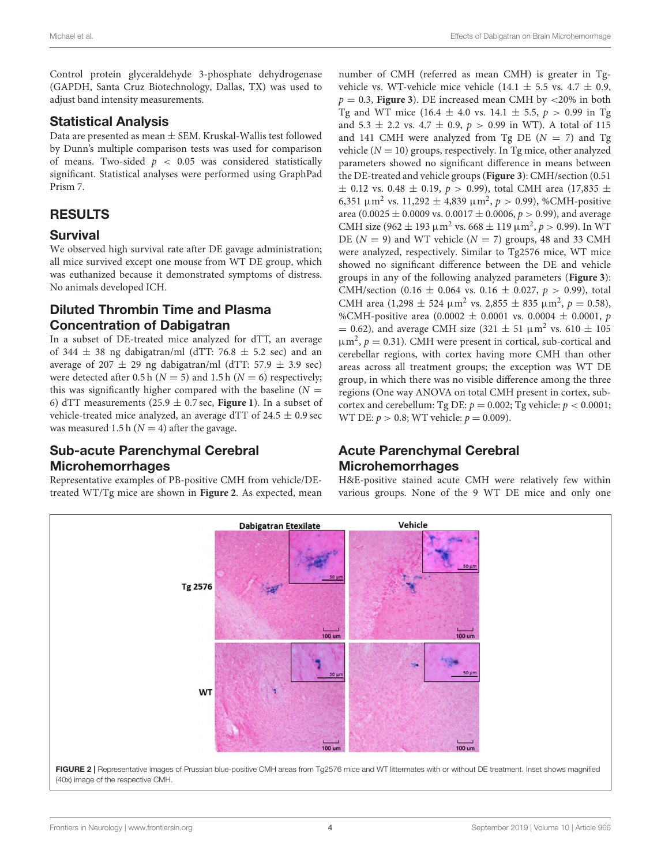Control protein glyceraldehyde 3-phosphate dehydrogenase (GAPDH, Santa Cruz Biotechnology, Dallas, TX) was used to adjust band intensity measurements.

#### Statistical Analysis

Data are presented as mean ± SEM. Kruskal-Wallis test followed by Dunn's multiple comparison tests was used for comparison of means. Two-sided  $p < 0.05$  was considered statistically significant. Statistical analyses were performed using GraphPad Prism 7.

## RESULTS

#### Survival

We observed high survival rate after DE gavage administration; all mice survived except one mouse from WT DE group, which was euthanized because it demonstrated symptoms of distress. No animals developed ICH.

## Diluted Thrombin Time and Plasma Concentration of Dabigatran

In a subset of DE-treated mice analyzed for dTT, an average of 344  $\pm$  38 ng dabigatran/ml (dTT: 76.8  $\pm$  5.2 sec) and an average of 207  $\pm$  29 ng dabigatran/ml (dTT: 57.9  $\pm$  3.9 sec) were detected after 0.5 h ( $N = 5$ ) and 1.5 h ( $N = 6$ ) respectively; this was significantly higher compared with the baseline  $(N =$ 6) dTT measurements (25.9  $\pm$  0.7 sec, **[Figure 1](#page-4-0)**). In a subset of vehicle-treated mice analyzed, an average dTT of  $24.5 \pm 0.9$  sec was measured 1.5 h ( $N = 4$ ) after the gavage.

#### Sub-acute Parenchymal Cerebral **Microhemorrhages**

Representative examples of PB-positive CMH from vehicle/DEtreated WT/Tg mice are shown in **[Figure 2](#page-5-0)**. As expected, mean

number of CMH (referred as mean CMH) is greater in Tgvehicle vs. WT-vehicle mice vehicle (14.1  $\pm$  5.5 vs. 4.7  $\pm$  0.9,  $p = 0.3$ , **[Figure 3](#page-6-0)**). DE increased mean CMH by <20% in both Tg and WT mice (16.4  $\pm$  4.0 vs. 14.1  $\pm$  5.5,  $p > 0.99$  in Tg and  $5.3 \pm 2.2$  vs.  $4.7 \pm 0.9$ ,  $p > 0.99$  in WT). A total of 115 and 141 CMH were analyzed from Tg DE  $(N = 7)$  and Tg vehicle  $(N = 10)$  groups, respectively. In Tg mice, other analyzed parameters showed no significant difference in means between the DE-treated and vehicle groups (**[Figure 3](#page-6-0)**): CMH/section (0.51  $\pm$  0.12 vs. 0.48  $\pm$  0.19,  $p >$  0.99), total CMH area (17,835  $\pm$ 6,351  $\mu$ m<sup>2</sup> vs. 11,292 ± 4,839  $\mu$ m<sup>2</sup>, p > 0.99), %CMH-positive area (0.0025  $\pm$  0.0009 vs. 0.0017  $\pm$  0.0006, p > 0.99), and average CMH size (962  $\pm$  193  $\mu$ m<sup>2</sup> vs. 668  $\pm$  119  $\mu$ m<sup>2</sup>, p > 0.99). In WT DE ( $N = 9$ ) and WT vehicle ( $N = 7$ ) groups, 48 and 33 CMH were analyzed, respectively. Similar to Tg2576 mice, WT mice showed no significant difference between the DE and vehicle groups in any of the following analyzed parameters (**[Figure 3](#page-6-0)**): CMH/section (0.16  $\pm$  0.064 vs. 0.16  $\pm$  0.027,  $p > 0.99$ ), total CMH area (1,298  $\pm$  524  $\mu$ m<sup>2</sup> vs. 2,855  $\pm$  835  $\mu$ m<sup>2</sup>,  $p = 0.58$ ), %CMH-positive area  $(0.0002 \pm 0.0001$  vs.  $0.0004 \pm 0.0001$ , p  $= 0.62$ ), and average CMH size (321  $\pm$  51  $\mu$ m<sup>2</sup> vs. 610  $\pm$  105  $\mu$ m<sup>2</sup>,  $p = 0.31$ ). CMH were present in cortical, sub-cortical and cerebellar regions, with cortex having more CMH than other areas across all treatment groups; the exception was WT DE group, in which there was no visible difference among the three regions (One way ANOVA on total CMH present in cortex, subcortex and cerebellum: Tg DE:  $p = 0.002$ ; Tg vehicle:  $p < 0.0001$ ; WT DE:  $p > 0.8$ ; WT vehicle:  $p = 0.009$ ).

#### Acute Parenchymal Cerebral Microhemorrhages

H&E-positive stained acute CMH were relatively few within various groups. None of the 9 WT DE mice and only one

<span id="page-5-0"></span>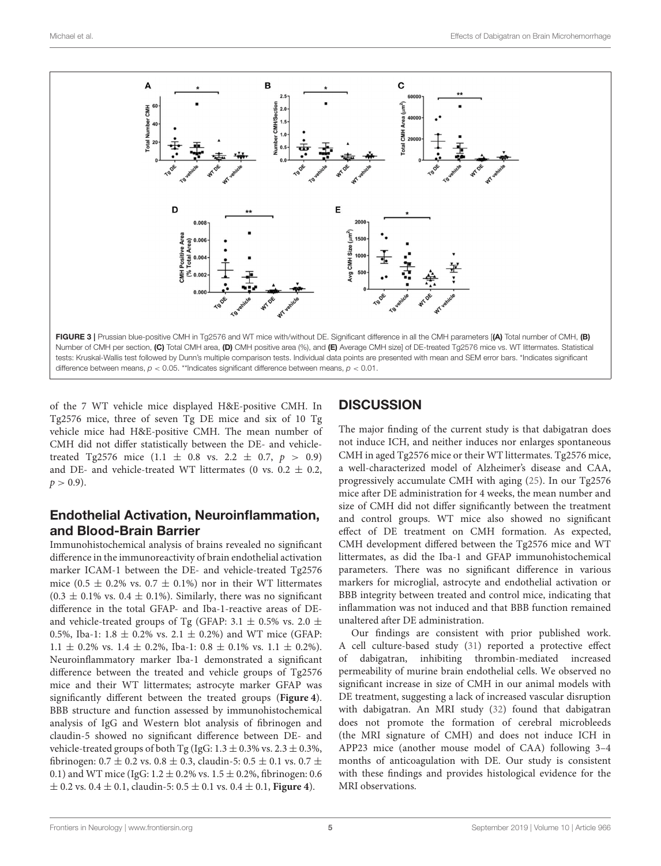

<span id="page-6-0"></span>of the 7 WT vehicle mice displayed H&E-positive CMH. In Tg2576 mice, three of seven Tg DE mice and six of 10 Tg vehicle mice had H&E-positive CMH. The mean number of CMH did not differ statistically between the DE- and vehicletreated Tg2576 mice  $(1.1 \pm 0.8 \text{ vs. } 2.2 \pm 0.7, p > 0.9)$ and DE- and vehicle-treated WT littermates (0 vs.  $0.2 \pm 0.2$ ,  $p > 0.9$ ).

#### Endothelial Activation, Neuroinflammation, and Blood-Brain Barrier

Immunohistochemical analysis of brains revealed no significant difference in the immunoreactivity of brain endothelial activation marker ICAM-1 between the DE- and vehicle-treated Tg2576 mice (0.5  $\pm$  0.2% vs. 0.7  $\pm$  0.1%) nor in their WT littermates  $(0.3 \pm 0.1\% \text{ vs. } 0.4 \pm 0.1\%)$ . Similarly, there was no significant difference in the total GFAP- and Iba-1-reactive areas of DEand vehicle-treated groups of Tg (GFAP: 3.1  $\pm$  0.5% vs. 2.0  $\pm$ 0.5%, Iba-1: 1.8  $\pm$  0.2% vs. 2.1  $\pm$  0.2%) and WT mice (GFAP:  $1.1 \pm 0.2\%$  vs.  $1.4 \pm 0.2\%$ , Iba-1:  $0.8 \pm 0.1\%$  vs.  $1.1 \pm 0.2\%$ ). Neuroinflammatory marker Iba-1 demonstrated a significant difference between the treated and vehicle groups of Tg2576 mice and their WT littermates; astrocyte marker GFAP was significantly different between the treated groups (**[Figure 4](#page-7-0)**). BBB structure and function assessed by immunohistochemical analysis of IgG and Western blot analysis of fibrinogen and claudin-5 showed no significant difference between DE- and vehicle-treated groups of both Tg (IgG:  $1.3 \pm 0.3\%$  vs.  $2.3 \pm 0.3\%$ , fibrinogen:  $0.7 \pm 0.2$  vs.  $0.8 \pm 0.3$ , claudin-5:  $0.5 \pm 0.1$  vs.  $0.7 \pm 0.1$ 0.1) and WT mice (IgG:  $1.2 \pm 0.2\%$  vs.  $1.5 \pm 0.2\%$ , fibrinogen: 0.6  $\pm$  0.2 vs. 0.4  $\pm$  0.1, claudin-5: 0.5  $\pm$  0.1 vs. 0.4  $\pm$  0.1, **[Figure 4](#page-7-0)**).

#### **DISCUSSION**

The major finding of the current study is that dabigatran does not induce ICH, and neither induces nor enlarges spontaneous CMH in aged Tg2576 mice or their WT littermates. Tg2576 mice, a well-characterized model of Alzheimer's disease and CAA, progressively accumulate CMH with aging [\(25\)](#page-8-19). In our Tg2576 mice after DE administration for 4 weeks, the mean number and size of CMH did not differ significantly between the treatment and control groups. WT mice also showed no significant effect of DE treatment on CMH formation. As expected, CMH development differed between the Tg2576 mice and WT littermates, as did the Iba-1 and GFAP immunohistochemical parameters. There was no significant difference in various markers for microglial, astrocyte and endothelial activation or BBB integrity between treated and control mice, indicating that inflammation was not induced and that BBB function remained unaltered after DE administration.

Our findings are consistent with prior published work. A cell culture-based study [\(31\)](#page-9-2) reported a protective effect of dabigatran, inhibiting thrombin-mediated increased permeability of murine brain endothelial cells. We observed no significant increase in size of CMH in our animal models with DE treatment, suggesting a lack of increased vascular disruption with dabigatran. An MRI study [\(32\)](#page-9-3) found that dabigatran does not promote the formation of cerebral microbleeds (the MRI signature of CMH) and does not induce ICH in APP23 mice (another mouse model of CAA) following 3–4 months of anticoagulation with DE. Our study is consistent with these findings and provides histological evidence for the MRI observations.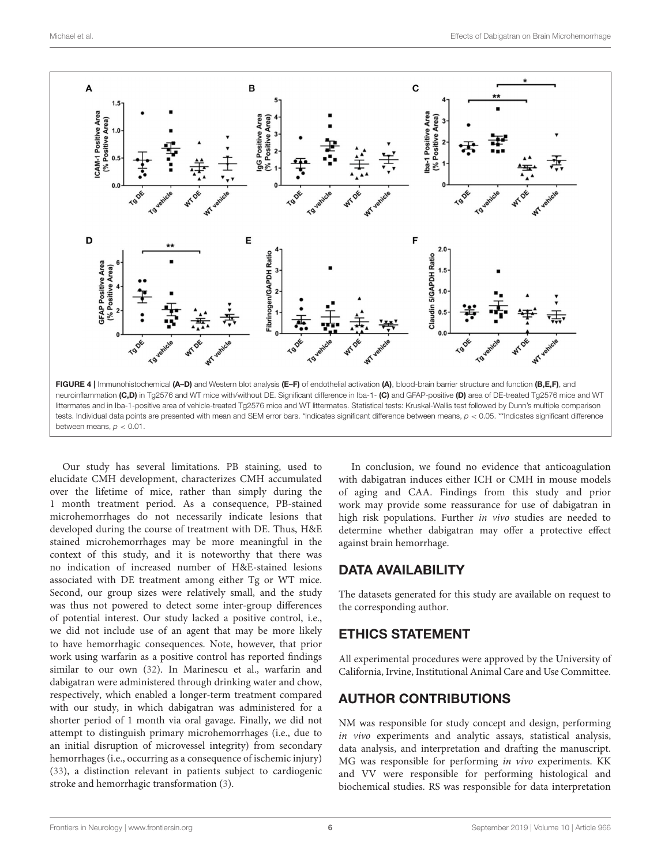

<span id="page-7-0"></span>Our study has several limitations. PB staining, used to elucidate CMH development, characterizes CMH accumulated over the lifetime of mice, rather than simply during the 1 month treatment period. As a consequence, PB-stained microhemorrhages do not necessarily indicate lesions that developed during the course of treatment with DE. Thus, H&E stained microhemorrhages may be more meaningful in the context of this study, and it is noteworthy that there was no indication of increased number of H&E-stained lesions associated with DE treatment among either Tg or WT mice. Second, our group sizes were relatively small, and the study was thus not powered to detect some inter-group differences of potential interest. Our study lacked a positive control, i.e., we did not include use of an agent that may be more likely to have hemorrhagic consequences. Note, however, that prior work using warfarin as a positive control has reported findings similar to our own [\(32\)](#page-9-3). In Marinescu et al., warfarin and dabigatran were administered through drinking water and chow, respectively, which enabled a longer-term treatment compared with our study, in which dabigatran was administered for a shorter period of 1 month via oral gavage. Finally, we did not attempt to distinguish primary microhemorrhages (i.e., due to an initial disruption of microvessel integrity) from secondary hemorrhages (i.e., occurring as a consequence of ischemic injury) [\(33\)](#page-9-4), a distinction relevant in patients subject to cardiogenic stroke and hemorrhagic transformation [\(3\)](#page-8-1).

In conclusion, we found no evidence that anticoagulation with dabigatran induces either ICH or CMH in mouse models of aging and CAA. Findings from this study and prior work may provide some reassurance for use of dabigatran in high risk populations. Further in vivo studies are needed to determine whether dabigatran may offer a protective effect against brain hemorrhage.

#### DATA AVAILABILITY

The datasets generated for this study are available on request to the corresponding author.

## ETHICS STATEMENT

All experimental procedures were approved by the University of California, Irvine, Institutional Animal Care and Use Committee.

# AUTHOR CONTRIBUTIONS

NM was responsible for study concept and design, performing in vivo experiments and analytic assays, statistical analysis, data analysis, and interpretation and drafting the manuscript. MG was responsible for performing in vivo experiments. KK and VV were responsible for performing histological and biochemical studies. RS was responsible for data interpretation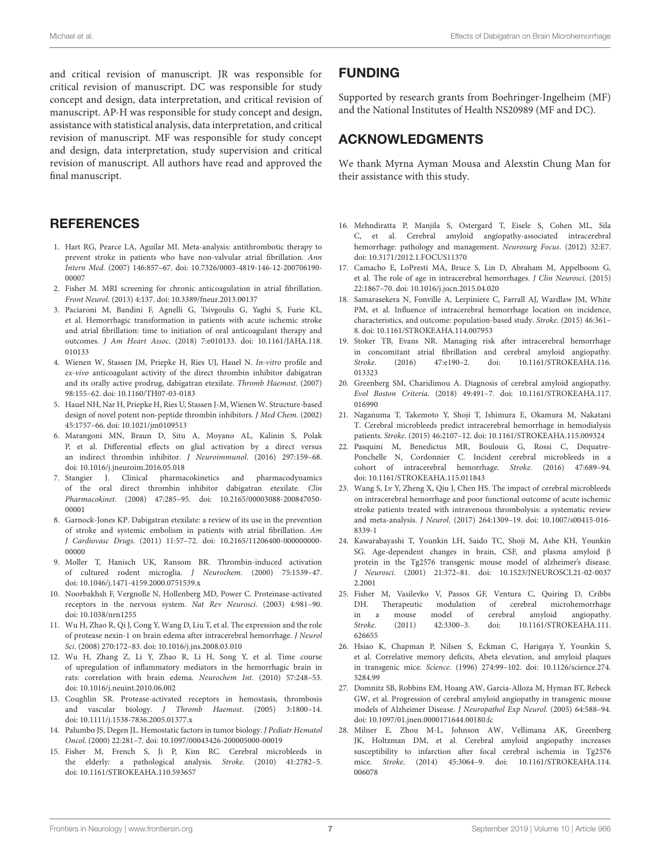and critical revision of manuscript. JR was responsible for critical revision of manuscript. DC was responsible for study concept and design, data interpretation, and critical revision of manuscript. AP-H was responsible for study concept and design, assistance with statistical analysis, data interpretation, and critical revision of manuscript. MF was responsible for study concept and design, data interpretation, study supervision and critical revision of manuscript. All authors have read and approved the final manuscript.

#### **REFERENCES**

- <span id="page-8-0"></span>1. Hart RG, Pearce LA, Aguilar MI. Meta-analysis: antithrombotic therapy to prevent stroke in patients who have non-valvular atrial fibrillation. Ann Intern Med[. \(2007\) 146:857–67. doi: 10.7326/0003-4819-146-12-200706190-](https://doi.org/10.7326/0003-4819-146-12-200706190-00007) 00007
- 2. Fisher M. MRI screening for chronic anticoagulation in atrial fibrillation. Front Neurol. (2013) 4:137. doi: [10.3389/fneur.2013.00137](https://doi.org/10.3389/fneur.2013.00137)
- <span id="page-8-1"></span>3. Paciaroni M, Bandini F, Agnelli G, Tsivgoulis G, Yaghi S, Furie KL, et al. Hemorrhagic transformation in patients with acute ischemic stroke and atrial fibrillation: time to initiation of oral anticoagulant therapy and outcomes. J Am Heart Assoc[. \(2018\) 7:e010133. doi: 10.1161/JAHA.118.](https://doi.org/10.1161/JAHA.118.010133) 010133
- <span id="page-8-2"></span>4. Wienen W, Stassen JM, Priepke H, Ries UJ, Hauel N. In-vitro profile and ex-vivo anticoagulant activity of the direct thrombin inhibitor dabigatran and its orally active prodrug, dabigatran etexilate. Thromb Haemost. (2007) 98:155–62. doi: [10.1160/TH07-03-0183](https://doi.org/10.1160/TH07-03-0183)
- <span id="page-8-3"></span>5. Hauel NH, Nar H, Priepke H, Ries U, Stassen J-M, Wienen W. Structure-based design of novel potent non-peptide thrombin inhibitors. J Med Chem. (2002) 45:1757–66. doi: [10.1021/jm0109513](https://doi.org/10.1021/jm0109513)
- <span id="page-8-4"></span>6. Marangoni MN, Braun D, Situ A, Moyano AL, Kalinin S, Polak P, et al. Differential effects on glial activation by a direct versus an indirect thrombin inhibitor. J Neuroimmunol. (2016) 297:159–68. doi: [10.1016/j.jneuroim.2016.05.018](https://doi.org/10.1016/j.jneuroim.2016.05.018)
- <span id="page-8-5"></span>7. Stangier J. Clinical pharmacokinetics and pharmacodynamics of the oral direct thrombin inhibitor dabigatran etexilate. Clin Pharmacokinet[. \(2008\) 47:285–95. doi: 10.2165/00003088-200847050-](https://doi.org/10.2165/00003088-200847050-00001) 00001
- <span id="page-8-6"></span>8. Garnock-Jones KP. Dabigatran etexilate: a review of its use in the prevention of stroke and systemic embolism in patients with atrial fibrillation. Am J Cardiovasc Drugs[. \(2011\) 11:57–72. doi: 10.2165/11206400-000000000-](https://doi.org/10.2165/11206400-000000000-00000) 00000
- <span id="page-8-7"></span>9. Moller T, Hanisch UK, Ransom BR. Thrombin-induced activation of cultured rodent microglia. J Neurochem. (2000) 75:1539–47. doi: [10.1046/j.1471-4159.2000.0751539.x](https://doi.org/10.1046/j.1471-4159.2000.0751539.x)
- <span id="page-8-8"></span>10. Noorbakhsh F, Vergnolle N, Hollenberg MD, Power C. Proteinase-activated receptors in the nervous system. Nat Rev Neurosci. (2003) 4:981–90. doi: [10.1038/nrn1255](https://doi.org/10.1038/nrn1255)
- <span id="page-8-9"></span>11. Wu H, Zhao R, Qi J, Cong Y, Wang D, Liu T, et al. The expression and the role of protease nexin-1 on brain edema after intracerebral hemorrhage. J Neurol Sci. (2008) 270:172–83. doi: [10.1016/j.jns.2008.03.010](https://doi.org/10.1016/j.jns.2008.03.010)
- <span id="page-8-10"></span>12. Wu H, Zhang Z, Li Y, Zhao R, Li H, Song Y, et al. Time course of upregulation of inflammatory mediators in the hemorrhagic brain in rats: correlation with brain edema. Neurochem Int. (2010) 57:248–53. doi: [10.1016/j.neuint.2010.06.002](https://doi.org/10.1016/j.neuint.2010.06.002)
- <span id="page-8-11"></span>13. Coughlin SR. Protease-activated receptors in hemostasis, thrombosis and vascular biology. J Thromb Haemost. (2005) 3:1800–14. doi: [10.1111/j.1538-7836.2005.01377.x](https://doi.org/10.1111/j.1538-7836.2005.01377.x)
- <span id="page-8-12"></span>14. Palumbo JS, Degen JL. Hemostatic factors in tumor biology. J Pediatr Hematol Oncol. (2000) 22:281–7. doi: [10.1097/00043426-200005000-00019](https://doi.org/10.1097/00043426-200005000-00019)
- <span id="page-8-13"></span>15. Fisher M, French S, Ji P, Kim RC. Cerebral microbleeds in the elderly: a pathological analysis. Stroke. (2010) 41:2782-5. doi: [10.1161/STROKEAHA.110.593657](https://doi.org/10.1161/STROKEAHA.110.593657)

#### FUNDING

Supported by research grants from Boehringer-Ingelheim (MF) and the National Institutes of Health NS20989 (MF and DC).

#### ACKNOWLEDGMENTS

We thank Myrna Ayman Mousa and Alexstin Chung Man for their assistance with this study.

- 16. Mehndiratta P, Manjila S, Ostergard T, Eisele S, Cohen ML, Sila C, et al. Cerebral amyloid angiopathy-associated intracerebral hemorrhage: pathology and management. Neurosurg Focus. (2012) 32:E7. doi: [10.3171/2012.1.FOCUS11370](https://doi.org/10.3171/2012.1.FOCUS11370)
- 17. Camacho E, LoPresti MA, Bruce S, Lin D, Abraham M, Appelboom G, et al. The role of age in intracerebral hemorrhages. J Clin Neurosci. (2015) 22:1867–70. doi: [10.1016/j.jocn.2015.04.020](https://doi.org/10.1016/j.jocn.2015.04.020)
- 18. Samarasekera N, Fonville A, Lerpiniere C, Farrall AJ, Wardlaw JM, White PM, et al. Influence of intracerebral hemorrhage location on incidence, characteristics, and outcome: population-based study. Stroke. (2015) 46:361– 8. doi: [10.1161/STROKEAHA.114.007953](https://doi.org/10.1161/STROKEAHA.114.007953)
- <span id="page-8-14"></span>19. Stoker TB, Evans NR. Managing risk after intracerebral hemorrhage in concomitant atrial fibrillation and cerebral amyloid angiopathy. Stroke[. \(2016\) 47:e190–2. doi: 10.1161/STROKEAHA.116.](https://doi.org/10.1161/STROKEAHA.116.013323) 013323
- <span id="page-8-15"></span>20. Greenberg SM, Charidimou A. Diagnosis of cerebral amyloid angiopathy. Evol Boston Criteria[. \(2018\) 49:491–7. doi: 10.1161/STROKEAHA.117.](https://doi.org/10.1161/STROKEAHA.117.016990) 016990
- <span id="page-8-16"></span>21. Naganuma T, Takemoto Y, Shoji T, Ishimura E, Okamura M, Nakatani T. Cerebral microbleeds predict intracerebral hemorrhage in hemodialysis patients. Stroke. (2015) 46:2107–12. doi: [10.1161/STROKEAHA.115.009324](https://doi.org/10.1161/STROKEAHA.115.009324)
- 22. Pasquini M, Benedictus MR, Boulouis G, Rossi C, Dequatre-Ponchelle N, Cordonnier C. Incident cerebral microbleeds in a cohort of intracerebral hemorrhage. Stroke. (2016) 47:689–94. doi: [10.1161/STROKEAHA.115.011843](https://doi.org/10.1161/STROKEAHA.115.011843)
- <span id="page-8-17"></span>23. Wang S, Lv Y, Zheng X, Qiu J, Chen HS. The impact of cerebral microbleeds on intracerebral hemorrhage and poor functional outcome of acute ischemic stroke patients treated with intravenous thrombolysis: a systematic review and meta-analysis. J Neurol[. \(2017\) 264:1309–19. doi: 10.1007/s00415-016-](https://doi.org/10.1007/s00415-016-8339-1) 8339-1
- <span id="page-8-18"></span>24. Kawarabayashi T, Younkin LH, Saido TC, Shoji M, Ashe KH, Younkin SG. Age-dependent changes in brain, CSF, and plasma amyloid β protein in the Tg2576 transgenic mouse model of alzheimer's disease. J Neurosci. [\(2001\) 21:372–81. doi: 10.1523/JNEUROSCI.21-02-0037](https://doi.org/10.1523/JNEUROSCI.21-02-00372.2001) 2.2001
- <span id="page-8-19"></span>25. Fisher M, Vasilevko V, Passos GF, Ventura C, Quiring D, Cribbs DH. Therapeutic modulation of cerebral microhemorrhage in a mouse model of cerebral amyloid angiopathy. Stroke[. \(2011\) 42:3300–3. doi: 10.1161/STROKEAHA.111.](https://doi.org/10.1161/STROKEAHA.111.626655) 626655
- <span id="page-8-20"></span>26. Hsiao K, Chapman P, Nilsen S, Eckman C, Harigaya Y, Younkin S, et al. Correlative memory deficits, Abeta elevation, and amyloid plaques in transgenic mice. Science[. \(1996\) 274:99–102. doi: 10.1126/science.274.](https://doi.org/10.1126/science.274.5284.99) 5284.99
- 27. Domnitz SB, Robbins EM, Hoang AW, Garcia-Alloza M, Hyman BT, Rebeck GW, et al. Progression of cerebral amyloid angiopathy in transgenic mouse models of Alzheimer Disease. J Neuropathol Exp Neurol. (2005) 64:588–94. doi: [10.1097/01.jnen.0000171644.00180.fc](https://doi.org/10.1097/01.jnen.0000171644.00180.fc)
- <span id="page-8-21"></span>28. Milner E, Zhou M-L, Johnson AW, Vellimana AK, Greenberg JK, Holtzman DM, et al. Cerebral amyloid angiopathy increases susceptibility to infarction after focal cerebral ischemia in Tg2576 mice. Stroke[. \(2014\) 45:3064–9. doi: 10.1161/STROKEAHA.114.](https://doi.org/10.1161/STROKEAHA.114.006078) 006078